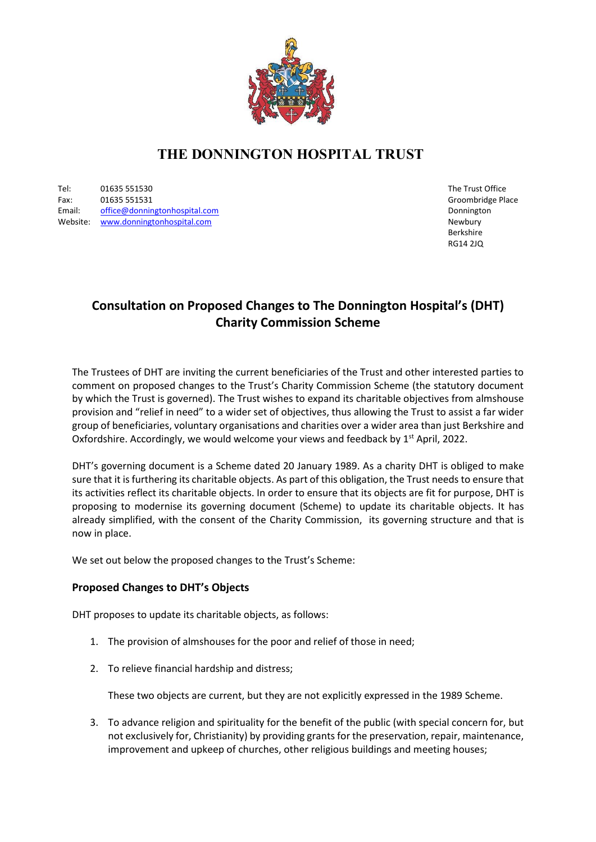

# **THE DONNINGTON HOSPITAL TRUST**

Tel: 01635 551530 The Trust Office Fax: 01635 551531 Groombridge Place Email: [office@donningtonhospital.com](mailto:office@donningtonhospital.com) Donnington Website: [www.donningtonhospital.com](http://www.donningtonhospital.com/) Newbury Newbury Newbury Newbury Newbury Newbury

Berkshire RG14 2JQ

# **Consultation on Proposed Changes to The Donnington Hospital's (DHT) Charity Commission Scheme**

The Trustees of DHT are inviting the current beneficiaries of the Trust and other interested parties to comment on proposed changes to the Trust's Charity Commission Scheme (the statutory document by which the Trust is governed). The Trust wishes to expand its charitable objectives from almshouse provision and "relief in need" to a wider set of objectives, thus allowing the Trust to assist a far wider group of beneficiaries, voluntary organisations and charities over a wider area than just Berkshire and Oxfordshire. Accordingly, we would welcome your views and feedback by  $1<sup>st</sup>$  April, 2022.

DHT's governing document is a Scheme dated 20 January 1989. As a charity DHT is obliged to make sure that it is furthering its charitable objects. As part of this obligation, the Trust needs to ensure that its activities reflect its charitable objects. In order to ensure that its objects are fit for purpose, DHT is proposing to modernise its governing document (Scheme) to update its charitable objects. It has already simplified, with the consent of the Charity Commission, its governing structure and that is now in place.

We set out below the proposed changes to the Trust's Scheme:

#### **Proposed Changes to DHT's Objects**

DHT proposes to update its charitable objects, as follows:

- 1. The provision of almshouses for the poor and relief of those in need;
- 2. To relieve financial hardship and distress;

These two objects are current, but they are not explicitly expressed in the 1989 Scheme.

3. To advance religion and spirituality for the benefit of the public (with special concern for, but not exclusively for, Christianity) by providing grants for the preservation, repair, maintenance, improvement and upkeep of churches, other religious buildings and meeting houses;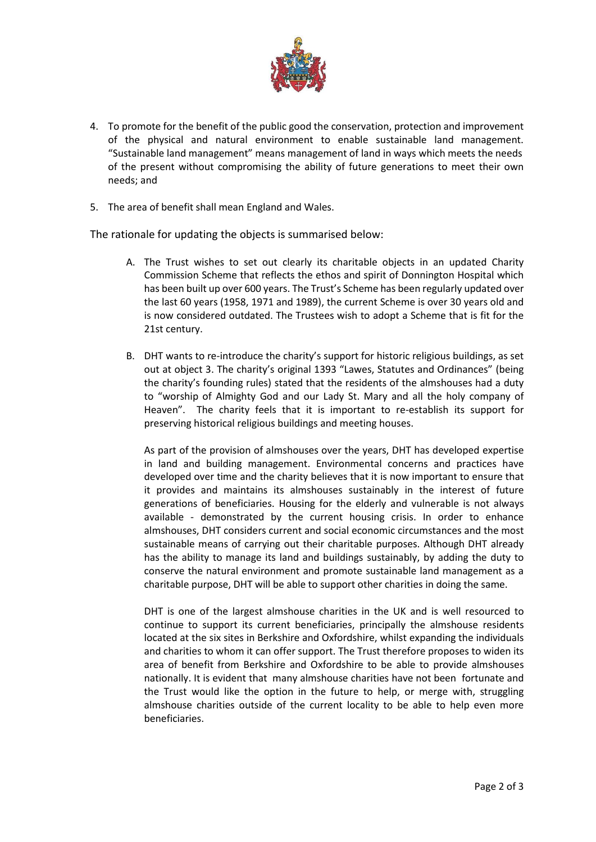

- 4. To promote for the benefit of the public good the conservation, protection and improvement of the physical and natural environment to enable sustainable land management. "Sustainable land management" means management of land in ways which meets the needs of the present without compromising the ability of future generations to meet their own needs; and
- 5. The area of benefit shall mean England and Wales.

The rationale for updating the objects is summarised below:

- A. The Trust wishes to set out clearly its charitable objects in an updated Charity Commission Scheme that reflects the ethos and spirit of Donnington Hospital which has been built up over 600 years. The Trust's Scheme has been regularly updated over the last 60 years (1958, 1971 and 1989), the current Scheme is over 30 years old and is now considered outdated. The Trustees wish to adopt a Scheme that is fit for the 21st century.
- B. DHT wants to re-introduce the charity's support for historic religious buildings, as set out at object 3. The charity's original 1393 "Lawes, Statutes and Ordinances" (being the charity's founding rules) stated that the residents of the almshouses had a duty to "worship of Almighty God and our Lady St. Mary and all the holy company of Heaven". The charity feels that it is important to re-establish its support for preserving historical religious buildings and meeting houses.

As part of the provision of almshouses over the years, DHT has developed expertise in land and building management. Environmental concerns and practices have developed over time and the charity believes that it is now important to ensure that it provides and maintains its almshouses sustainably in the interest of future generations of beneficiaries. Housing for the elderly and vulnerable is not always available - demonstrated by the current housing crisis. In order to enhance almshouses, DHT considers current and social economic circumstances and the most sustainable means of carrying out their charitable purposes. Although DHT already has the ability to manage its land and buildings sustainably, by adding the duty to conserve the natural environment and promote sustainable land management as a charitable purpose, DHT will be able to support other charities in doing the same.

DHT is one of the largest almshouse charities in the UK and is well resourced to continue to support its current beneficiaries, principally the almshouse residents located at the six sites in Berkshire and Oxfordshire, whilst expanding the individuals and charities to whom it can offer support. The Trust therefore proposes to widen its area of benefit from Berkshire and Oxfordshire to be able to provide almshouses nationally. It is evident that many almshouse charities have not been fortunate and the Trust would like the option in the future to help, or merge with, struggling almshouse charities outside of the current locality to be able to help even more beneficiaries.